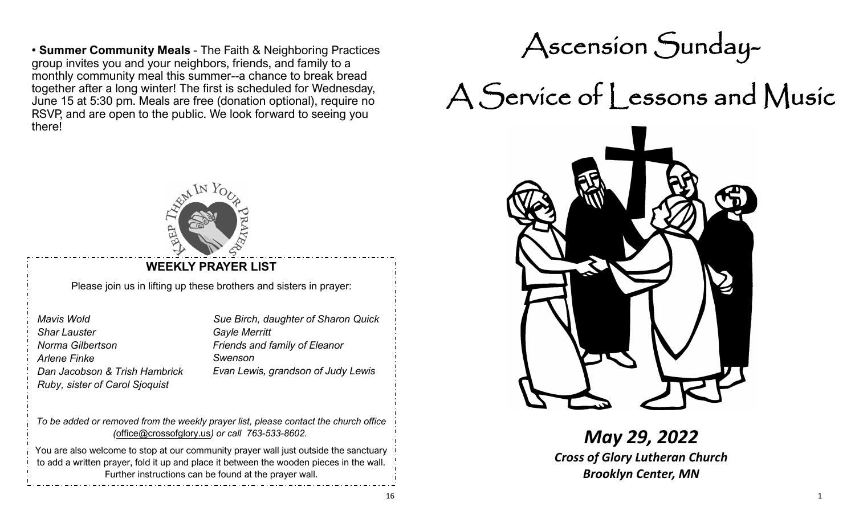• **Summer Community Meals** - The Faith & Neighboring Practices group invites you and your neighbors, friends, and family to a monthly community meal this summer--a chance to break bread together after a long winter! The first is scheduled for Wednesday, June 15 at 5:30 pm. Meals are free (donation optional), require no RSVP, and are open to the public. We look forward to seeing you there!



## **WEEKLY PRAYER LIST**

Please join us in lifting up these brothers and sisters in prayer:

*Mavis Wold Shar Lauster Norma Gilbertson Arlene Finke Dan Jacobson & Trish Hambrick Ruby, sister of Carol Sjoquist*

*Sue Birch, daughter of Sharon Quick Gayle Merritt Friends and family of Eleanor Swenson Evan Lewis, grandson of Judy Lewis*

*To be added or removed from the weekly prayer list, please contact the church office (*[office@crossofglory.us](mailto:office@crossofglory.us)*) or call 763-533-8602.*

You are also welcome to stop at our community prayer wall just outside the sanctuary to add a written prayer, fold it up and place it between the wooden pieces in the wall. Further instructions can be found at the prayer wall.



*May 29, 2022 Cross of Glory Lutheran Church Brooklyn Center, MN*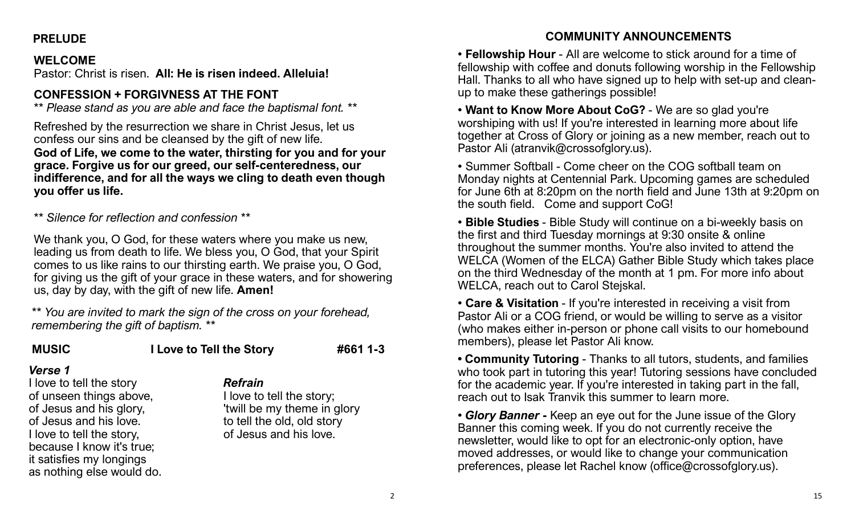# **PRELUDE**

# **WELCOME**

Pastor: Christ is risen. **All: He is risen indeed. Alleluia!**

# **CONFESSION + FORGIVNESS AT THE FONT**

*\*\* Please stand as you are able and face the baptismal font. \*\**

Refreshed by the resurrection we share in Christ Jesus, let us confess our sins and be cleansed by the gift of new life. **God of Life, we come to the water, thirsting for you and for your grace. Forgive us for our greed, our self-centeredness, our indifference, and for all the ways we cling to death even though you offer us life.**

*\*\* Silence for reflection and confession \*\**

We thank you, O God, for these waters where you make us new, leading us from death to life. We bless you, O God, that your Spirit comes to us like rains to our thirsting earth. We praise you, O God, for giving us the gift of your grace in these waters, and for showering us, day by day, with the gift of new life. **Amen!**

*\*\* You are invited to mark the sign of the cross on your forehead, remembering the gift of baptism. \*\**

| <b>MUSIC</b>                        | I Love to Tell the Story | #661 1-3 |
|-------------------------------------|--------------------------|----------|
| Verse 1                             |                          |          |
| $1 \text{ hours}$ to tall the oten. | D <sub>0</sub>           |          |

I love to tell the story of unseen things above, of Jesus and his glory, of Jesus and his love. I love to tell the story, because I know it's true; it satisfies my longings as nothing else would do.

## *Refrain*

I love to tell the story; 'twill be my theme in glory to tell the old, old story of Jesus and his love.

# **COMMUNITY ANNOUNCEMENTS**

• **Fellowship Hour** - All are welcome to stick around for a time of fellowship with coffee and donuts following worship in the Fellowship Hall. Thanks to all who have signed up to help with set-up and cleanup to make these gatherings possible!

• **Want to Know More About CoG?** - We are so glad you're worshiping with us! If you're interested in learning more about life together at Cross of Glory or joining as a new member, reach out to Pastor Ali (atranvik@crossofglory.us).

• Summer Softball - Come cheer on the COG softball team on Monday nights at Centennial Park. Upcoming games are scheduled for June 6th at 8:20pm on the north field and June 13th at 9:20pm on the south field. Come and support CoG!

• **Bible Studies** - Bible Study will continue on a bi-weekly basis on the first and third Tuesday mornings at 9:30 onsite & online throughout the summer months. You're also invited to attend the WELCA (Women of the ELCA) Gather Bible Study which takes place on the third Wednesday of the month at 1 pm. For more info about WELCA, reach out to Carol Stejskal.

• **Care & Visitation** - If you're interested in receiving a visit from Pastor Ali or a COG friend, or would be willing to serve as a visitor (who makes either in-person or phone call visits to our homebound members), please let Pastor Ali know.

**• Community Tutoring** - Thanks to all tutors, students, and families who took part in tutoring this year! Tutoring sessions have concluded for the academic year. If you're interested in taking part in the fall, reach out to Isak Tranvik this summer to learn more.

• *Glory Banner* **-** Keep an eye out for the June issue of the Glory Banner this coming week. If you do not currently receive the newsletter, would like to opt for an electronic-only option, have moved addresses, or would like to change your communication preferences, please let Rachel know (office@crossofglory.us).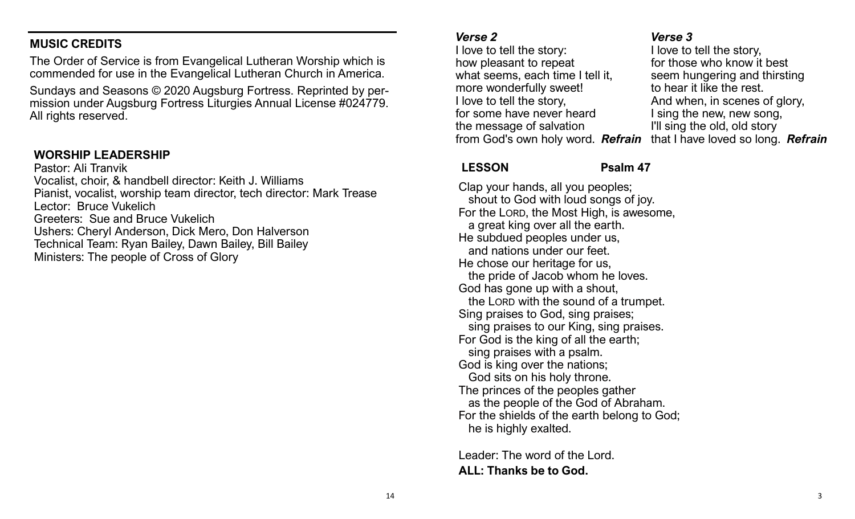### **MUSIC CREDITS**

The Order of Service is from Evangelical Lutheran Worship which is commended for use in the Evangelical Lutheran Church in America.

Sundays and Seasons © 2020 Augsburg Fortress. Reprinted by permission under Augsburg Fortress Liturgies Annual License #024779. All rights reserved.

### **WORSHIP LEADERSHIP**

Pastor: Ali Tranvik Vocalist, choir, & handbell director: Keith J. Williams Pianist, vocalist, worship team director, tech director: Mark Trease Lector: Bruce Vukelich Greeters: Sue and Bruce Vukelich Ushers: Cheryl Anderson, Dick Mero, Don Halverson Technical Team: Ryan Bailey, Dawn Bailey, Bill Bailey Ministers: The people of Cross of Glory

### *Verse 2*

I love to tell the story: how pleasant to repeat what seems, each time I tell it, more wonderfully sweet! I love to tell the story, for some have never heard the message of salvation

**LESSON Psalm 47**

Clap your hands, all you peoples; shout to God with loud songs of joy. For the LORD, the Most High, is awesome, a great king over all the earth. He subdued peoples under us, and nations under our feet. He chose our heritage for us, the pride of Jacob whom he loves. God has gone up with a shout, the LORD with the sound of a trumpet. Sing praises to God, sing praises; sing praises to our King, sing praises. For God is the king of all the earth; sing praises with a psalm. God is king over the nations; God sits on his holy throne. The princes of the peoples gather as the people of the God of Abraham. For the shields of the earth belong to God; he is highly exalted.

Leader: The word of the Lord. **ALL: Thanks be to God.**

from God's own holy word. *Refrain* that I have loved so long. *Refrain* I love to tell the story, for those who know it best seem hungering and thirsting to hear it like the rest. And when, in scenes of glory, I sing the new, new song, I'll sing the old, old story

14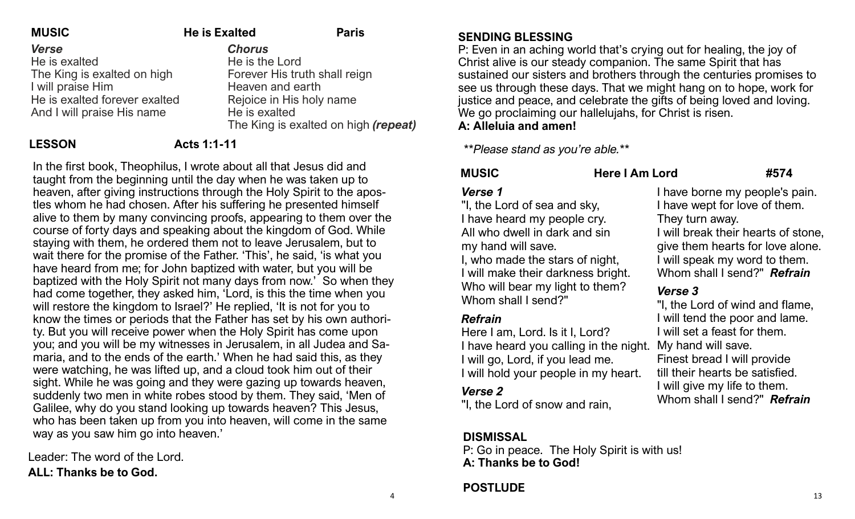| <b>MUSIC</b> |
|--------------|
|--------------|

### *Verse*

He is exalted The King is exalted on high I will praise Him He is exalted forever exalted And I will praise His name

**MUSIC He is Exalted Paris** *Chorus* He is the Lord

Forever His truth shall reign Heaven and earth Rejoice in His holy name He is exalted The King is exalted on high *(repeat)*

### **LESSON Acts 1:1-11**

In the first book, Theophilus, I wrote about all that Jesus did and taught from the beginning until the day when he was taken up to heaven, after giving instructions through the Holy Spirit to the apostles whom he had chosen. After his suffering he presented himself alive to them by many convincing proofs, appearing to them over the course of forty days and speaking about the kingdom of God. While staying with them, he ordered them not to leave Jerusalem, but to wait there for the promise of the Father. 'This', he said, 'is what you have heard from me; for John baptized with water, but you will be baptized with the Holy Spirit not many days from now.' So when they had come together, they asked him, 'Lord, is this the time when you will restore the kingdom to Israel?' He replied, 'It is not for you to know the times or periods that the Father has set by his own authority. But you will receive power when the Holy Spirit has come upon you; and you will be my witnesses in Jerusalem, in all Judea and Samaria, and to the ends of the earth.' When he had said this, as they were watching, he was lifted up, and a cloud took him out of their sight. While he was going and they were gazing up towards heaven, suddenly two men in white robes stood by them. They said, 'Men of Galilee, why do you stand looking up towards heaven? This Jesus, who has been taken up from you into heaven, will come in the same way as you saw him go into heaven.'

Leader: The word of the Lord. **ALL: Thanks be to God.**

### **SENDING BLESSING**

P: Even in an aching world that's crying out for healing, the joy of Christ alive is our steady companion. The same Spirit that has sustained our sisters and brothers through the centuries promises to see us through these days. That we might hang on to hope, work for justice and peace, and celebrate the gifts of being loved and loving. We go proclaiming our hallelujahs, for Christ is risen.

**A: Alleluia and amen!**

*\*\*Please stand as you're able.\*\**

### **MUSIC Here I Am Lord #574**

# *Verse 1*

"I, the Lord of sea and sky, I have heard my people cry. All who dwell in dark and sin my hand will save. I, who made the stars of night, I will make their darkness bright. Who will bear my light to them? Whom shall I send?"

## *Refrain*

Here I am, Lord. Is it I, Lord? I have heard you calling in the night. I will go, Lord, if you lead me. I will hold your people in my heart.

# *Verse 2*

"I, the Lord of snow and rain,

# **DISMISSAL**

P: Go in peace. The Holy Spirit is with us! **A: Thanks be to God!**

# **POSTLUDE**

4

I have wept for love of them. They turn away. I will break their hearts of stone, give them hearts for love alone. I will speak my word to them. Whom shall I send?" *Refrain*

I have borne my people's pain.

# *Verse 3*

"I, the Lord of wind and flame, I will tend the poor and lame. I will set a feast for them. My hand will save. Finest bread I will provide till their hearts be satisfied. I will give my life to them. Whom shall I send?" *Refrain*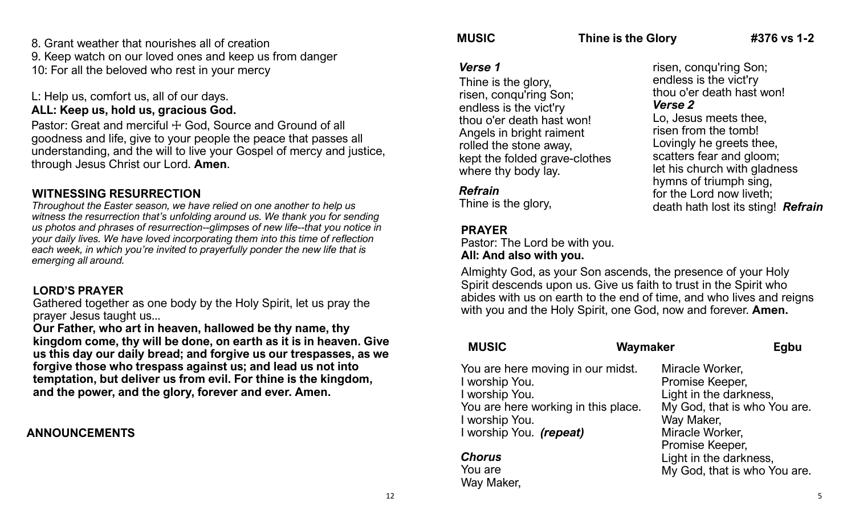8. Grant weather that nourishes all of creation 9. Keep watch on our loved ones and keep us from danger 10: For all the beloved who rest in your mercy

### L: Help us, comfort us, all of our days. **ALL: Keep us, hold us, gracious God.**

Pastor: Great and merciful + God, Source and Ground of all goodness and life, give to your people the peace that passes all understanding, and the will to live your Gospel of mercy and justice, through Jesus Christ our Lord. **Amen**.

## **WITNESSING RESURRECTION**

*Throughout the Easter season, we have relied on one another to help us witness the resurrection that's unfolding around us. We thank you for sending us photos and phrases of resurrection--glimpses of new life--that you notice in your daily lives. We have loved incorporating them into this time of reflection each week, in which you're invited to prayerfully ponder the new life that is emerging all around.*

### **LORD'S PRAYER**

Gathered together as one body by the Holy Spirit, let us pray the prayer Jesus taught us...

**Our Father, who art in heaven, hallowed be thy name, thy kingdom come, thy will be done, on earth as it is in heaven. Give us this day our daily bread; and forgive us our trespasses, as we forgive those who trespass against us; and lead us not into temptation, but deliver us from evil. For thine is the kingdom, and the power, and the glory, forever and ever. Amen.** 

### **ANNOUNCEMENTS**

**MUSIC Thine is the Glory #376 vs 1-2** 

# *Verse 1*

Thine is the glory, risen, conqu'ring Son; endless is the vict'ry thou o'er death hast won! Angels in bright raiment rolled the stone away, kept the folded grave-clothes where thy body lay.

### *Refrain*

Thine is the glory,

## **PRAYER**

Pastor: The Lord be with you. **All: And also with you.** 

risen, conqu'ring Son; endless is the vict'ry thou o'er death hast won! *Verse 2* Lo, Jesus meets thee, risen from the tomb! Lovingly he greets thee, scatters fear and gloom; let his church with gladness hymns of triumph sing, for the Lord now liveth; death hath lost its sting! *Refrain*

Almighty God, as your Son ascends, the presence of your Holy Spirit descends upon us. Give us faith to trust in the Spirit who abides with us on earth to the end of time, and who lives and reigns with you and the Holy Spirit, one God, now and forever. **Amen.**

**MUSIC Waymaker Egbu**

You are here moving in our midst. I worship You. I worship You. You are here working in this place. I worship You. I worship You. *(repeat)*

## *Chorus*

You are Way Maker, Miracle Worker, Promise Keeper, Light in the darkness, My God, that is who You are. Way Maker, Miracle Worker, Promise Keeper, Light in the darkness, My God, that is who You are.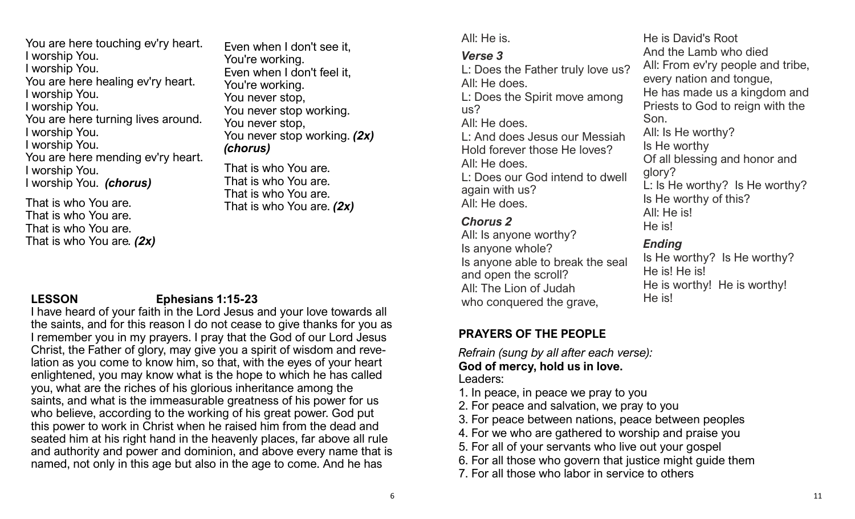You are here touching ev'ry heart. I worship You. I worship You. You are here healing ev'ry heart. I worship You. I worship You. You are here turning lives around. I worship You. I worship You. You are here mending ev'ry heart. I worship You. I worship You. *(chorus)*

That is who You are. That is who You are. That is who You are. That is who You are*. (2x)*

Even when I don't see it, You're working. Even when I don't feel it, You're working. You never stop, You never stop working. You never stop, You never stop working. *(2x) (chorus)*

That is who You are. That is who You are. That is who You are. That is who You are. *(2x)*

## **LESSON Ephesians 1:15-23**

I have heard of your faith in the Lord Jesus and your love towards all the saints, and for this reason I do not cease to give thanks for you as I remember you in my prayers. I pray that the God of our Lord Jesus Christ, the Father of glory, may give you a spirit of wisdom and revelation as you come to know him, so that, with the eyes of your heart enlightened, you may know what is the hope to which he has called you, what are the riches of his glorious inheritance among the saints, and what is the immeasurable greatness of his power for us who believe, according to the working of his great power. God put this power to work in Christ when he raised him from the dead and seated him at his right hand in the heavenly places, far above all rule and authority and power and dominion, and above every name that is named, not only in this age but also in the age to come. And he has

### All: He is.

# *Verse 3*

L: Does the Father truly love us? All: He does. L: Does the Spirit move among us? All: He does. L: And does Jesus our Messiah Hold forever those He loves? All: He does. L: Does our God intend to dwell again with us? All: He does.

## *Chorus 2*

All: Is anyone worthy? Is anyone whole? Is anyone able to break the seal and open the scroll? All: The Lion of Judah who conquered the grave,

# **PRAYERS OF THE PEOPLE**

*Refrain (sung by all after each verse):* **God of mercy, hold us in love.** Leaders:

1. In peace, in peace we pray to you

- 2. For peace and salvation, we pray to you
- 3. For peace between nations, peace between peoples
- 4. For we who are gathered to worship and praise you
- 5. For all of your servants who live out your gospel
- 6. For all those who govern that justice might guide them
- 7. For all those who labor in service to others

He is David's Root And the Lamb who died All: From ev'ry people and tribe, every nation and tongue, He has made us a kingdom and Priests to God to reign with the Son. All: Is He worthy? Is He worthy Of all blessing and honor and glory? L: Is He worthy? Is He worthy? Is He worthy of this? All: He is! He is!

## *Ending*

Is He worthy? Is He worthy? He is! He is! He is worthy! He is worthy! He is!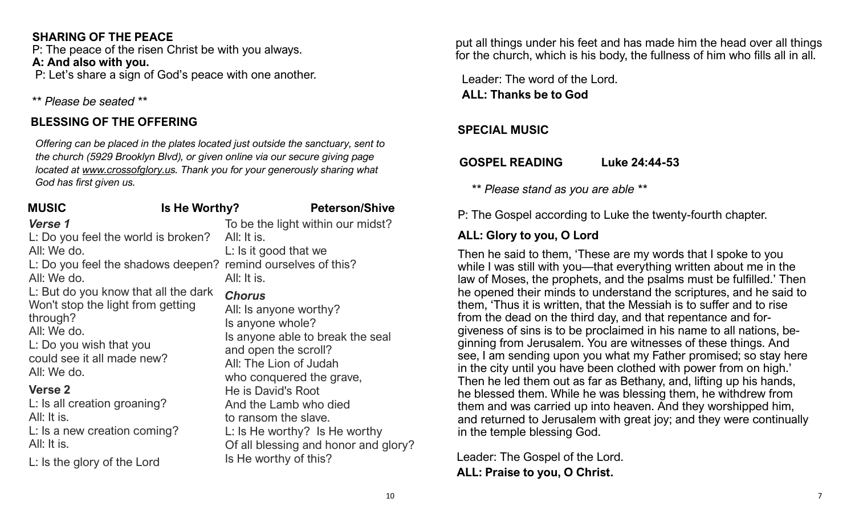## **SHARING OF THE PEACE**

P: The peace of the risen Christ be with you always. **A: And also with you.** P: Let's share a sign of God's peace with one another.

*\*\* Please be seated \*\**

# **BLESSING OF THE OFFERING**

*Offering can be placed in the plates located just outside the sanctuary, sent to the church (5929 Brooklyn Blvd), or given online via our secure giving page located at [www.crossofglory.us](http://www.crossofglory.us). Thank you for your generously sharing what God has first given us.*

| <b>MUSIC</b>                                                                                                                                                                 | Is He Worthy? | <b>Peterson/Shive</b>                                                                                                                                                         |  |
|------------------------------------------------------------------------------------------------------------------------------------------------------------------------------|---------------|-------------------------------------------------------------------------------------------------------------------------------------------------------------------------------|--|
| Verse 1<br>L: Do you feel the world is broken?<br>All: We do.<br>All: We do.                                                                                                 |               | To be the light within our midst?<br>All: It is.<br>L: Is it good that we<br>L: Do you feel the shadows deepen? remind ourselves of this?<br>All: It is.                      |  |
| L: But do you know that all the dark<br>Won't stop the light from getting<br>through?<br>All: We do.<br>L: Do you wish that you<br>could see it all made new?<br>All: We do. |               | <b>Chorus</b><br>All: Is anyone worthy?<br>Is anyone whole?<br>Is anyone able to break the seal<br>and open the scroll?<br>All: The Lion of Judah<br>who conquered the grave, |  |
| <b>Verse 2</b><br>L: Is all creation groaning?<br>All: It is.<br>L: Is a new creation coming?<br>All: It is.                                                                 |               | He is David's Root<br>And the Lamb who died<br>to ransom the slave.<br>L: Is He worthy? Is He worthy<br>Of all blessing and honor and glory?                                  |  |
| L: Is the glory of the Lord                                                                                                                                                  |               | Is He worthy of this?                                                                                                                                                         |  |

put all things under his feet and has made him the head over all things for the church, which is his body, the fullness of him who fills all in all.

Leader: The word of the Lord. **ALL: Thanks be to God**

## **SPECIAL MUSIC**

**GOSPEL READING Luke 24:44-53**

*\*\* Please stand as you are able \*\**

P: The Gospel according to Luke the twenty-fourth chapter.

# **ALL: Glory to you, O Lord**

Then he said to them, 'These are my words that I spoke to you while I was still with you—that everything written about me in the law of Moses, the prophets, and the psalms must be fulfilled.' Then he opened their minds to understand the scriptures, and he said to them, 'Thus it is written, that the Messiah is to suffer and to rise from the dead on the third day, and that repentance and forgiveness of sins is to be proclaimed in his name to all nations, beginning from Jerusalem. You are witnesses of these things. And see, I am sending upon you what my Father promised; so stay here in the city until you have been clothed with power from on high.' Then he led them out as far as Bethany, and, lifting up his hands, he blessed them. While he was blessing them, he withdrew from them and was carried up into heaven. And they worshipped him, and returned to Jerusalem with great joy; and they were continually in the temple blessing God.

Leader: The Gospel of the Lord. **ALL: Praise to you, O Christ.**